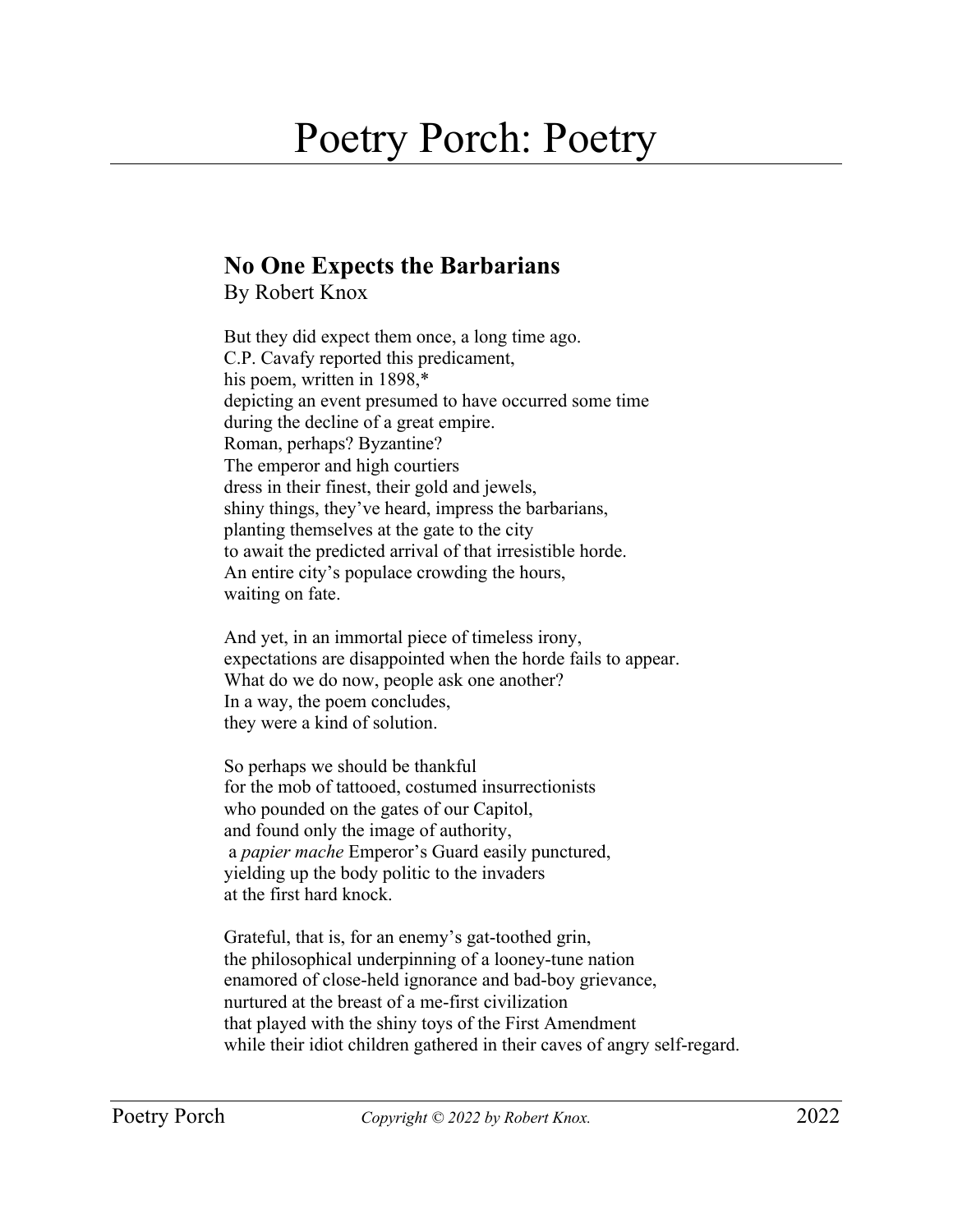## Poetry Porch: Poetry

## **No One Expects the Barbarians**

By Robert Knox

But they did expect them once, a long time ago. C.P. Cavafy reported this predicament, his poem, written in 1898,\* depicting an event presumed to have occurred some time during the decline of a great empire. Roman, perhaps? Byzantine? The emperor and high courtiers dress in their finest, their gold and jewels, shiny things, they've heard, impress the barbarians, planting themselves at the gate to the city to await the predicted arrival of that irresistible horde. An entire city's populace crowding the hours, waiting on fate.

And yet, in an immortal piece of timeless irony, expectations are disappointed when the horde fails to appear. What do we do now, people ask one another? In a way, the poem concludes, they were a kind of solution.

So perhaps we should be thankful for the mob of tattooed, costumed insurrectionists who pounded on the gates of our Capitol, and found only the image of authority, a *papier mache* Emperor's Guard easily punctured, yielding up the body politic to the invaders at the first hard knock.

Grateful, that is, for an enemy's gat-toothed grin, the philosophical underpinning of a looney-tune nation enamored of close-held ignorance and bad-boy grievance, nurtured at the breast of a me-first civilization that played with the shiny toys of the First Amendment while their idiot children gathered in their caves of angry self-regard.